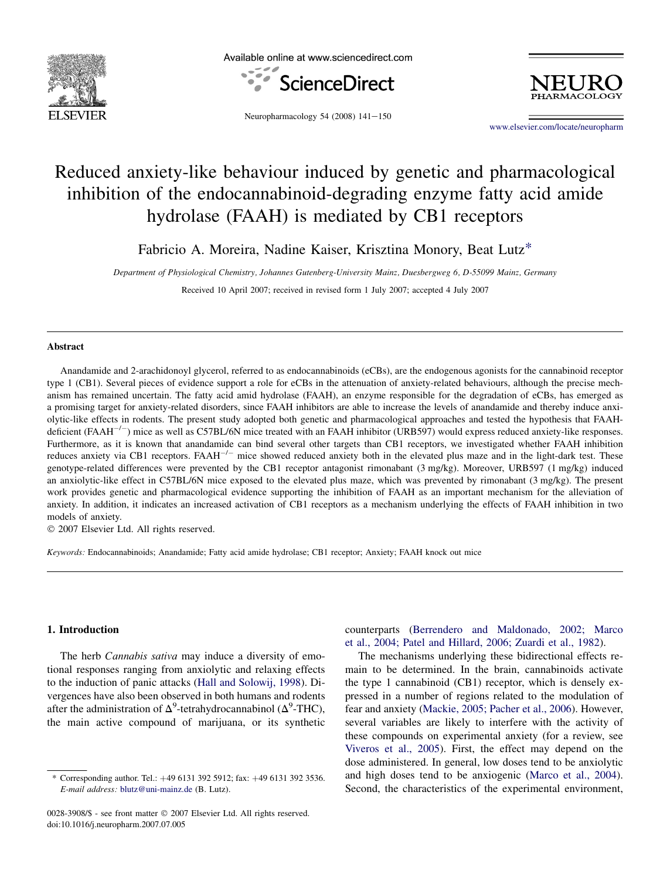

Available online at www.sciencedirect.com





Neuropharmacology 54 (2008)  $141-150$ 

[www.elsevier.com/locate/neuropharm](http://www.elsevier.com/locate/neuropharm)

# Reduced anxiety-like behaviour induced by genetic and pharmacological inhibition of the endocannabinoid-degrading enzyme fatty acid amide hydrolase (FAAH) is mediated by CB1 receptors

Fabricio A. Moreira, Nadine Kaiser, Krisztina Monory, Beat Lutz\*

Department of Physiological Chemistry, Johannes Gutenberg-University Mainz, Duesbergweg 6, D-55099 Mainz, Germany

Received 10 April 2007; received in revised form 1 July 2007; accepted 4 July 2007

#### Abstract

Anandamide and 2-arachidonoyl glycerol, referred to as endocannabinoids (eCBs), are the endogenous agonists for the cannabinoid receptor type 1 (CB1). Several pieces of evidence support a role for eCBs in the attenuation of anxiety-related behaviours, although the precise mechanism has remained uncertain. The fatty acid amid hydrolase (FAAH), an enzyme responsible for the degradation of eCBs, has emerged as a promising target for anxiety-related disorders, since FAAH inhibitors are able to increase the levels of anandamide and thereby induce anxiolytic-like effects in rodents. The present study adopted both genetic and pharmacological approaches and tested the hypothesis that FAAHdeficient (FAAH<sup>-/-</sup>) mice as well as C57BL/6N mice treated with an FAAH inhibitor (URB597) would express reduced anxiety-like responses. Furthermore, as it is known that anandamide can bind several other targets than CB1 receptors, we investigated whether FAAH inhibition reduces anxiety via CB1 receptors. FAAH<sup>-/-</sup> mice showed reduced anxiety both in the elevated plus maze and in the light-dark test. These genotype-related differences were prevented by the CB1 receptor antagonist rimonabant (3 mg/kg). Moreover, URB597 (1 mg/kg) induced an anxiolytic-like effect in C57BL/6N mice exposed to the elevated plus maze, which was prevented by rimonabant (3 mg/kg). The present work provides genetic and pharmacological evidence supporting the inhibition of FAAH as an important mechanism for the alleviation of anxiety. In addition, it indicates an increased activation of CB1 receptors as a mechanism underlying the effects of FAAH inhibition in two models of anxiety.

© 2007 Elsevier Ltd. All rights reserved.

Keywords: Endocannabinoids; Anandamide; Fatty acid amide hydrolase; CB1 receptor; Anxiety; FAAH knock out mice

## 1. Introduction

The herb *Cannabis sativa* may induce a diversity of emotional responses ranging from anxiolytic and relaxing effects to the induction of panic attacks [\(Hall and Solowij, 1998\)](#page-8-0). Divergences have also been observed in both humans and rodents after the administration of  $\Delta^9$ -tetrahydrocannabinol ( $\Delta^9$ -THC), the main active compound of marijuana, or its synthetic counterparts ([Berrendero and Maldonado, 2002; Marco](#page-8-0) [et al., 2004; Patel and Hillard, 2006; Zuardi et al., 1982](#page-8-0)).

The mechanisms underlying these bidirectional effects remain to be determined. In the brain, cannabinoids activate the type 1 cannabinoid (CB1) receptor, which is densely expressed in a number of regions related to the modulation of fear and anxiety ([Mackie, 2005; Pacher et al., 2006](#page-8-0)). However, several variables are likely to interfere with the activity of these compounds on experimental anxiety (for a review, see [Viveros et al., 2005](#page-9-0)). First, the effect may depend on the dose administered. In general, low doses tend to be anxiolytic and high doses tend to be anxiogenic [\(Marco et al., 2004\)](#page-8-0). Second, the characteristics of the experimental environment,

Corresponding author. Tel.: +49 6131 392 5912; fax: +49 6131 392 3536. E-mail address: [blutz@uni-mainz.de](mailto:blutz@uni-mainz.de) (B. Lutz).

<sup>0028-3908/\$ -</sup> see front matter © 2007 Elsevier Ltd. All rights reserved. doi:10.1016/j.neuropharm.2007.07.005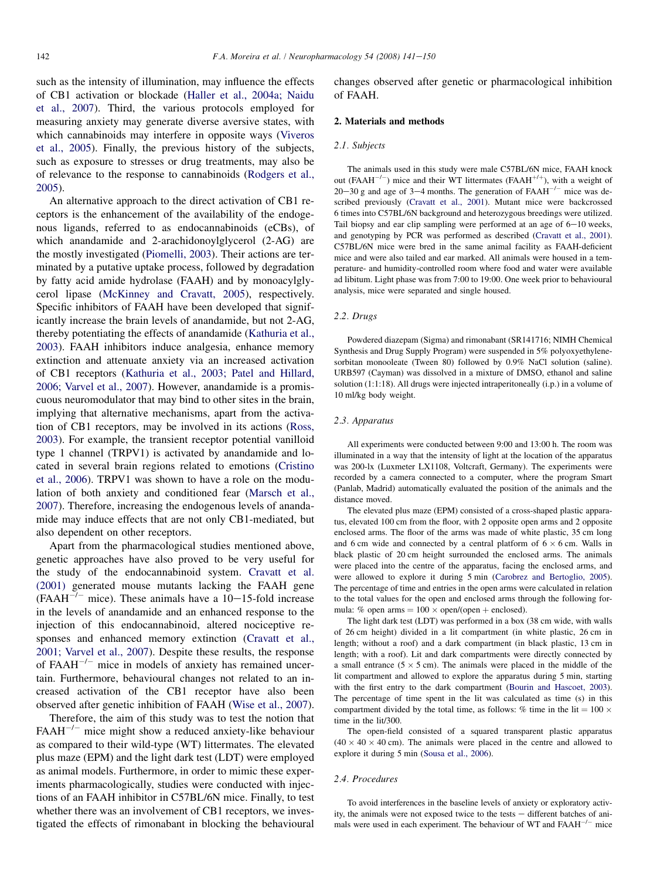such as the intensity of illumination, may influence the effects of CB1 activation or blockade [\(Haller et al., 2004a; Naidu](#page-8-0) [et al., 2007](#page-8-0)). Third, the various protocols employed for measuring anxiety may generate diverse aversive states, with which cannabinoids may interfere in opposite ways ([Viveros](#page-9-0) [et al., 2005](#page-9-0)). Finally, the previous history of the subjects, such as exposure to stresses or drug treatments, may also be of relevance to the response to cannabinoids ([Rodgers et al.,](#page-9-0) [2005\)](#page-9-0).

An alternative approach to the direct activation of CB1 receptors is the enhancement of the availability of the endogenous ligands, referred to as endocannabinoids (eCBs), of which anandamide and 2-arachidonoylglycerol (2-AG) are the mostly investigated ([Piomelli, 2003\)](#page-9-0). Their actions are terminated by a putative uptake process, followed by degradation by fatty acid amide hydrolase (FAAH) and by monoacylglycerol lipase ([McKinney and Cravatt, 2005](#page-8-0)), respectively. Specific inhibitors of FAAH have been developed that significantly increase the brain levels of anandamide, but not 2-AG, thereby potentiating the effects of anandamide [\(Kathuria et al.,](#page-8-0) [2003\)](#page-8-0). FAAH inhibitors induce analgesia, enhance memory extinction and attenuate anxiety via an increased activation of CB1 receptors [\(Kathuria et al., 2003; Patel and Hillard,](#page-8-0) [2006; Varvel et al., 2007\)](#page-8-0). However, anandamide is a promiscuous neuromodulator that may bind to other sites in the brain, implying that alternative mechanisms, apart from the activation of CB1 receptors, may be involved in its actions ([Ross,](#page-9-0) [2003\)](#page-9-0). For example, the transient receptor potential vanilloid type 1 channel (TRPV1) is activated by anandamide and located in several brain regions related to emotions ([Cristino](#page-8-0) [et al., 2006\)](#page-8-0). TRPV1 was shown to have a role on the modulation of both anxiety and conditioned fear ([Marsch et al.,](#page-8-0) [2007\)](#page-8-0). Therefore, increasing the endogenous levels of anandamide may induce effects that are not only CB1-mediated, but also dependent on other receptors.

Apart from the pharmacological studies mentioned above, genetic approaches have also proved to be very useful for the study of the endocannabinoid system. [Cravatt et al.](#page-8-0) [\(2001\)](#page-8-0) generated mouse mutants lacking the FAAH gene  $(FAAH^{-/-}$  mice). These animals have a 10–15-fold increase in the levels of anandamide and an enhanced response to the injection of this endocannabinoid, altered nociceptive responses and enhanced memory extinction ([Cravatt et al.,](#page-8-0) [2001; Varvel et al., 2007](#page-8-0)). Despite these results, the response of FAAH<sup>-/-</sup> mice in models of anxiety has remained uncertain. Furthermore, behavioural changes not related to an increased activation of the CB1 receptor have also been observed after genetic inhibition of FAAH ([Wise et al., 2007\)](#page-9-0).

Therefore, the aim of this study was to test the notion that  $FAAH^{-/-}$  mice might show a reduced anxiety-like behaviour as compared to their wild-type (WT) littermates. The elevated plus maze (EPM) and the light dark test (LDT) were employed as animal models. Furthermore, in order to mimic these experiments pharmacologically, studies were conducted with injections of an FAAH inhibitor in C57BL/6N mice. Finally, to test whether there was an involvement of CB1 receptors, we investigated the effects of rimonabant in blocking the behavioural changes observed after genetic or pharmacological inhibition of FAAH.

## 2. Materials and methods

#### 2.1. Subjects

The animals used in this study were male C57BL/6N mice, FAAH knock out (FAAH<sup>-/-</sup>) mice and their WT littermates (FAAH<sup>+/+</sup>), with a weight of 20-30 g and age of 3-4 months. The generation of  $FAAH^{-/-}$  mice was described previously ([Cravatt et al., 2001\)](#page-8-0). Mutant mice were backcrossed 6 times into C57BL/6N background and heterozygous breedings were utilized. Tail biopsy and ear clip sampling were performed at an age of  $6-10$  weeks, and genotyping by PCR was performed as described ([Cravatt et al., 2001](#page-8-0)). C57BL/6N mice were bred in the same animal facility as FAAH-deficient mice and were also tailed and ear marked. All animals were housed in a temperature- and humidity-controlled room where food and water were available ad libitum. Light phase was from 7:00 to 19:00. One week prior to behavioural analysis, mice were separated and single housed.

## 2.2. Drugs

Powdered diazepam (Sigma) and rimonabant (SR141716; NIMH Chemical Synthesis and Drug Supply Program) were suspended in 5% polyoxyethylenesorbitan monooleate (Tween 80) followed by 0.9% NaCl solution (saline). URB597 (Cayman) was dissolved in a mixture of DMSO, ethanol and saline solution (1:1:18). All drugs were injected intraperitoneally (i.p.) in a volume of 10 ml/kg body weight.

#### 2.3. Apparatus

All experiments were conducted between 9:00 and 13:00 h. The room was illuminated in a way that the intensity of light at the location of the apparatus was 200-lx (Luxmeter LX1108, Voltcraft, Germany). The experiments were recorded by a camera connected to a computer, where the program Smart (Panlab, Madrid) automatically evaluated the position of the animals and the distance moved.

The elevated plus maze (EPM) consisted of a cross-shaped plastic apparatus, elevated 100 cm from the floor, with 2 opposite open arms and 2 opposite enclosed arms. The floor of the arms was made of white plastic, 35 cm long and 6 cm wide and connected by a central platform of  $6 \times 6$  cm. Walls in black plastic of 20 cm height surrounded the enclosed arms. The animals were placed into the centre of the apparatus, facing the enclosed arms, and were allowed to explore it during 5 min [\(Carobrez and Bertoglio, 2005](#page-8-0)). The percentage of time and entries in the open arms were calculated in relation to the total values for the open and enclosed arms through the following formula: % open arms =  $100 \times$  open/(open + enclosed).

The light dark test (LDT) was performed in a box (38 cm wide, with walls of 26 cm height) divided in a lit compartment (in white plastic, 26 cm in length; without a roof) and a dark compartment (in black plastic, 13 cm in length; with a roof). Lit and dark compartments were directly connected by a small entrance  $(5 \times 5 \text{ cm})$ . The animals were placed in the middle of the lit compartment and allowed to explore the apparatus during 5 min, starting with the first entry to the dark compartment ([Bourin and Hascoet, 2003](#page-8-0)). The percentage of time spent in the lit was calculated as time (s) in this compartment divided by the total time, as follows: % time in the lit =  $100 \times$ time in the lit/300.

The open-field consisted of a squared transparent plastic apparatus  $(40 \times 40 \times 40 \text{ cm})$ . The animals were placed in the centre and allowed to explore it during 5 min [\(Sousa et al., 2006\)](#page-9-0).

#### 2.4. Procedures

To avoid interferences in the baseline levels of anxiety or exploratory activity, the animals were not exposed twice to the tests  $-$  different batches of animals were used in each experiment. The behaviour of WT and  $FAAH^{-/-}$  mice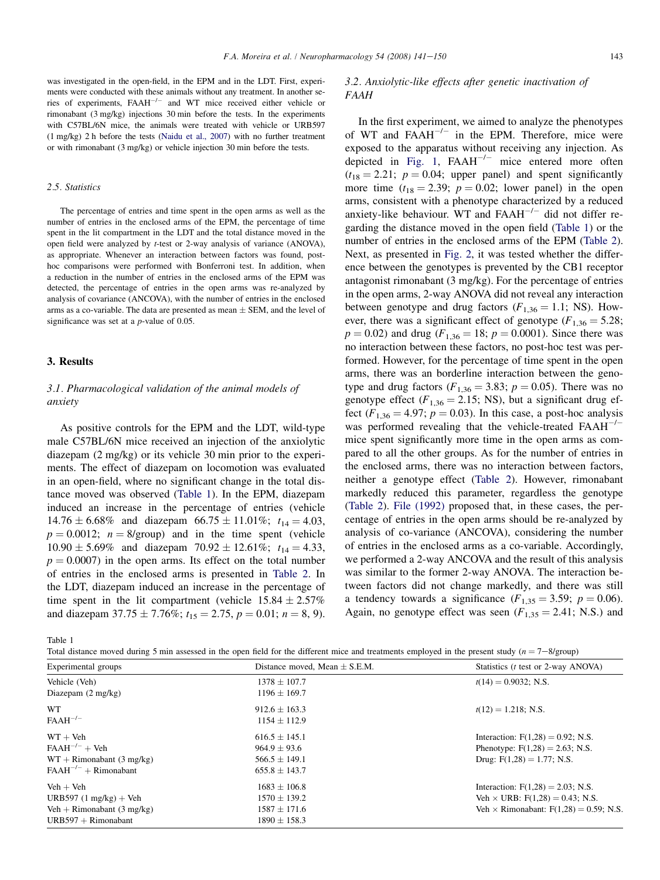<span id="page-2-0"></span>was investigated in the open-field, in the EPM and in the LDT. First, experiments were conducted with these animals without any treatment. In another series of experiments, FAAH<sup>-/-</sup> and WT mice received either vehicle or rimonabant (3 mg/kg) injections 30 min before the tests. In the experiments with C57BL/6N mice, the animals were treated with vehicle or URB597 (1 mg/kg) 2 h before the tests ([Naidu et al., 2007](#page-9-0)) with no further treatment or with rimonabant (3 mg/kg) or vehicle injection 30 min before the tests.

#### 2.5. Statistics

The percentage of entries and time spent in the open arms as well as the number of entries in the enclosed arms of the EPM, the percentage of time spent in the lit compartment in the LDT and the total distance moved in the open field were analyzed by t-test or 2-way analysis of variance (ANOVA), as appropriate. Whenever an interaction between factors was found, posthoc comparisons were performed with Bonferroni test. In addition, when a reduction in the number of entries in the enclosed arms of the EPM was detected, the percentage of entries in the open arms was re-analyzed by analysis of covariance (ANCOVA), with the number of entries in the enclosed arms as a co-variable. The data are presented as mean  $\pm$  SEM, and the level of significance was set at a *p*-value of 0.05.

#### 3. Results

## 3.1. Pharmacological validation of the animal models of anxiety

As positive controls for the EPM and the LDT, wild-type male C57BL/6N mice received an injection of the anxiolytic diazepam (2 mg/kg) or its vehicle 30 min prior to the experiments. The effect of diazepam on locomotion was evaluated in an open-field, where no significant change in the total distance moved was observed (Table 1). In the EPM, diazepam induced an increase in the percentage of entries (vehicle  $14.76 \pm 6.68\%$  and diazepam  $66.75 \pm 11.01\%$ ;  $t_{14} = 4.03$ ,  $p = 0.0012$ ;  $n = 8$ /group) and in the time spent (vehicle  $10.90 \pm 5.69\%$  and diazepam  $70.92 \pm 12.61\%$ ;  $t_{14} = 4.33$ ,  $p = 0.0007$ ) in the open arms. Its effect on the total number of entries in the enclosed arms is presented in [Table 2](#page-3-0). In the LDT, diazepam induced an increase in the percentage of time spent in the lit compartment (vehicle  $15.84 \pm 2.57\%$ and diazepam  $37.75 \pm 7.76\%$ ;  $t_{15} = 2.75$ ,  $p = 0.01$ ;  $n = 8, 9$ ).

## 3.2. Anxiolytic-like effects after genetic inactivation of FAAH

In the first experiment, we aimed to analyze the phenotypes of WT and  $FAAH^{-/-}$  in the EPM. Therefore, mice were exposed to the apparatus without receiving any injection. As depicted in [Fig. 1](#page-4-0),  $FAAH^{-/-}$  mice entered more often  $(t_{18} = 2.21; p = 0.04;$  upper panel) and spent significantly more time  $(t_{18} = 2.39; p = 0.02;$  lower panel) in the open arms, consistent with a phenotype characterized by a reduced anxiety-like behaviour. WT and  $FAAH^{-/-}$  did not differ regarding the distance moved in the open field (Table 1) or the number of entries in the enclosed arms of the EPM ([Table 2\)](#page-3-0). Next, as presented in [Fig. 2,](#page-4-0) it was tested whether the difference between the genotypes is prevented by the CB1 receptor antagonist rimonabant (3 mg/kg). For the percentage of entries in the open arms, 2-way ANOVA did not reveal any interaction between genotype and drug factors  $(F_{1,36} = 1.1; NS)$ . However, there was a significant effect of genotype ( $F_{1,36} = 5.28$ ;  $p = 0.02$ ) and drug ( $F_{1,36} = 18$ ;  $p = 0.0001$ ). Since there was no interaction between these factors, no post-hoc test was performed. However, for the percentage of time spent in the open arms, there was an borderline interaction between the genotype and drug factors ( $F_{1,36} = 3.83$ ;  $p = 0.05$ ). There was no genotype effect ( $F_{1,36} = 2.15$ ; NS), but a significant drug effect  $(F_{1,36} = 4.97; p = 0.03)$ . In this case, a post-hoc analysis was performed revealing that the vehicle-treated  $FAAH^{-/-}$ mice spent significantly more time in the open arms as compared to all the other groups. As for the number of entries in the enclosed arms, there was no interaction between factors, neither a genotype effect ([Table 2\)](#page-3-0). However, rimonabant markedly reduced this parameter, regardless the genotype ([Table 2\)](#page-3-0). [File \(1992\)](#page-8-0) proposed that, in these cases, the percentage of entries in the open arms should be re-analyzed by analysis of co-variance (ANCOVA), considering the number of entries in the enclosed arms as a co-variable. Accordingly, we performed a 2-way ANCOVA and the result of this analysis was similar to the former 2-way ANOVA. The interaction between factors did not change markedly, and there was still a tendency towards a significance  $(F_{1,35} = 3.59; p = 0.06)$ . Again, no genotype effect was seen  $(F_{1,35} = 2.41; N.S.)$  and

Table 1

| Total distance moved during 5 min assessed in the open field for the different mice and treatments employed in the present study ( $n = 7-8$ /group) |  |  |  |
|------------------------------------------------------------------------------------------------------------------------------------------------------|--|--|--|
|------------------------------------------------------------------------------------------------------------------------------------------------------|--|--|--|

| Experimental groups                  | Distance moved, Mean $\pm$ S.E.M. | Statistics ( <i>t</i> test or 2-way ANOVA)<br>$t(14) = 0.9032$ ; N.S. |  |
|--------------------------------------|-----------------------------------|-----------------------------------------------------------------------|--|
| Vehicle (Veh)                        | $1378 \pm 107.7$                  |                                                                       |  |
| Diazepam $(2 \text{ mg/kg})$         | $1196 \pm 169.7$                  |                                                                       |  |
| <b>WT</b>                            | $912.6 \pm 163.3$                 | $t(12) = 1.218$ ; N.S.                                                |  |
| $FAAH^{-/-}$                         | $1154 \pm 112.9$                  |                                                                       |  |
| $WT + Veh$                           | $616.5 \pm 145.1$                 | Interaction: $F(1,28) = 0.92$ ; N.S.                                  |  |
| $FAAH^{-/-} + Veh$                   | $964.9 + 93.6$                    | Phenotype: $F(1,28) = 2.63$ ; N.S.                                    |  |
| $WT + Rimonabant (3 mg/kg)$          | $566.5 \pm 149.1$                 | Drug: $F(1,28) = 1.77$ ; N.S.                                         |  |
| $FAAH^{-/-}$ + Rimonabant            | $655.8 \pm 143.7$                 |                                                                       |  |
| $Veh + Veh$                          | $1683 \pm 106.8$                  | Interaction: $F(1,28) = 2.03$ ; N.S.                                  |  |
| URB597 $(1 \text{ mg/kg}) +$ Veh     | $1570 \pm 139.2$                  | Veh $\times$ URB: F(1,28) = 0.43; N.S.                                |  |
| Veh + Rimonabant $(3 \text{ mg/kg})$ | $1587 \pm 171.6$                  | Veh $\times$ Rimonabant: F(1,28) = 0.59; N.S.                         |  |
| $URB597 + Rimonabant$                | $1890 \pm 158.3$                  |                                                                       |  |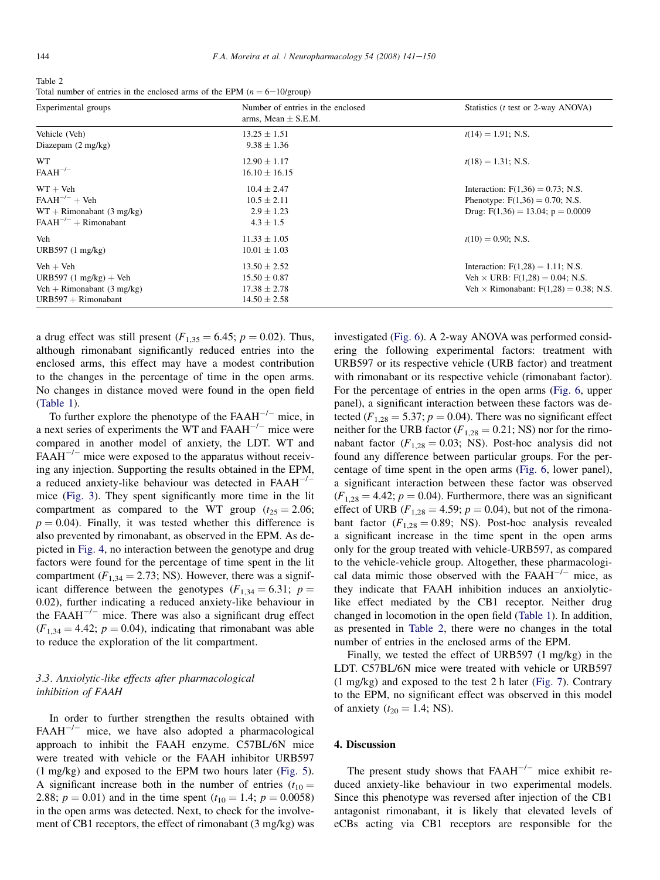<span id="page-3-0"></span>Table 2 Total number of entries in the enclosed arms of the EPM  $(n = 6 - 10/\text{group})$ 

| Experimental groups                     | Number of entries in the enclosed<br>arms, Mean $\pm$ S.E.M. | Statistics ( <i>t</i> test or 2-way ANOVA)<br>$t(14) = 1.91$ ; N.S. |  |
|-----------------------------------------|--------------------------------------------------------------|---------------------------------------------------------------------|--|
| Vehicle (Veh)                           | $13.25 \pm 1.51$                                             |                                                                     |  |
| Diazepam $(2 \text{ mg/kg})$            | $9.38 \pm 1.36$                                              |                                                                     |  |
| <b>WT</b>                               | $12.90 \pm 1.17$                                             | $t(18) = 1.31$ ; N.S.                                               |  |
| $FAAH^{-/-}$                            | $16.10 \pm 16.15$                                            |                                                                     |  |
| $WT + Veh$                              | $10.4 \pm 2.47$                                              | Interaction: $F(1,36) = 0.73$ ; N.S.                                |  |
| $FAAH^{-/-} + Veh$                      | $10.5 \pm 2.11$                                              | Phenotype: $F(1,36) = 0.70$ ; N.S.                                  |  |
| $WT + R$ imonabant (3 mg/kg)            | $2.9 \pm 1.23$                                               | Drug: $F(1,36) = 13.04$ ; $p = 0.0009$                              |  |
| $FAAH^{-/-}$ + Rimonabant               | $4.3 \pm 1.5$                                                |                                                                     |  |
| Veh                                     | $11.33 \pm 1.05$                                             | $t(10) = 0.90$ ; N.S.                                               |  |
| URB597 $(1 \text{ mg/kg})$              | $10.01 \pm 1.03$                                             |                                                                     |  |
| $Veh + Veh$                             | $13.50 \pm 2.52$                                             | Interaction: $F(1,28) = 1.11$ ; N.S.                                |  |
| URB597 $(1 \text{ mg/kg}) + \text{Veh}$ | $15.50 \pm 0.87$                                             | Veh $\times$ URB: F(1,28) = 0.04; N.S.                              |  |
| Veh + Rimonabant $(3 \text{ mg/kg})$    | $17.38 \pm 2.78$                                             | Veh $\times$ Rimonabant: $F(1,28) = 0.38$ ; N.S.                    |  |
| $URB597 + Rimonabant$                   | $14.50 \pm 2.58$                                             |                                                                     |  |

a drug effect was still present  $(F_{1,35} = 6.45; p = 0.02)$ . Thus, although rimonabant significantly reduced entries into the enclosed arms, this effect may have a modest contribution to the changes in the percentage of time in the open arms. No changes in distance moved were found in the open field [\(Table 1\)](#page-2-0).

To further explore the phenotype of the  $FAAH^{-/-}$  mice, in a next series of experiments the WT and  $FAAH^{-/-}$  mice were compared in another model of anxiety, the LDT. WT and  $FAAH^{-/-}$  mice were exposed to the apparatus without receiving any injection. Supporting the results obtained in the EPM, a reduced anxiety-like behaviour was detected in FAAH<sup>-/-</sup> mice ([Fig. 3](#page-5-0)). They spent significantly more time in the lit compartment as compared to the WT group  $(t_{25} = 2.06;$  $p = 0.04$ ). Finally, it was tested whether this difference is also prevented by rimonabant, as observed in the EPM. As depicted in [Fig. 4](#page-5-0), no interaction between the genotype and drug factors were found for the percentage of time spent in the lit compartment ( $F_{1,34} = 2.73$ ; NS). However, there was a significant difference between the genotypes ( $F_{1,34} = 6.31$ ;  $p =$ 0.02), further indicating a reduced anxiety-like behaviour in the  $FAAH^{-/-}$  mice. There was also a significant drug effect  $(F_{1,34} = 4.42; p = 0.04)$ , indicating that rimonabant was able to reduce the exploration of the lit compartment.

# 3.3. Anxiolytic-like effects after pharmacological inhibition of FAAH

In order to further strengthen the results obtained with  $FAAH^{-/-}$  mice, we have also adopted a pharmacological approach to inhibit the FAAH enzyme. C57BL/6N mice were treated with vehicle or the FAAH inhibitor URB597 (1 mg/kg) and exposed to the EPM two hours later [\(Fig. 5\)](#page-5-0). A significant increase both in the number of entries  $(t_{10} =$ 2.88;  $p = 0.01$ ) and in the time spent ( $t_{10} = 1.4$ ;  $p = 0.0058$ ) in the open arms was detected. Next, to check for the involvement of CB1 receptors, the effect of rimonabant (3 mg/kg) was

investigated ([Fig. 6](#page-6-0)). A 2-way ANOVA was performed considering the following experimental factors: treatment with URB597 or its respective vehicle (URB factor) and treatment with rimonabant or its respective vehicle (rimonabant factor). For the percentage of entries in the open arms ([Fig. 6](#page-6-0), upper panel), a significant interaction between these factors was detected ( $F_{1,28} = 5.37$ ;  $p = 0.04$ ). There was no significant effect neither for the URB factor ( $F_{1,28} = 0.21$ ; NS) nor for the rimonabant factor ( $F_{1,28} = 0.03$ ; NS). Post-hoc analysis did not found any difference between particular groups. For the percentage of time spent in the open arms [\(Fig. 6](#page-6-0), lower panel), a significant interaction between these factor was observed  $(F_{1,28} = 4.42; p = 0.04)$ . Furthermore, there was an significant effect of URB ( $F_{1,28} = 4.59$ ;  $p = 0.04$ ), but not of the rimonabant factor ( $F_{1,28} = 0.89$ ; NS). Post-hoc analysis revealed a significant increase in the time spent in the open arms only for the group treated with vehicle-URB597, as compared to the vehicle-vehicle group. Altogether, these pharmacological data mimic those observed with the  $FAAH^{-/-}$  mice, as they indicate that FAAH inhibition induces an anxiolyticlike effect mediated by the CB1 receptor. Neither drug changed in locomotion in the open field [\(Table 1\)](#page-2-0). In addition, as presented in Table 2, there were no changes in the total number of entries in the enclosed arms of the EPM.

Finally, we tested the effect of URB597 (1 mg/kg) in the LDT. C57BL/6N mice were treated with vehicle or URB597 (1 mg/kg) and exposed to the test 2 h later ([Fig. 7\)](#page-7-0). Contrary to the EPM, no significant effect was observed in this model of anxiety ( $t_{20} = 1.4$ ; NS).

## 4. Discussion

The present study shows that  $FAAH^{-/-}$  mice exhibit reduced anxiety-like behaviour in two experimental models. Since this phenotype was reversed after injection of the CB1 antagonist rimonabant, it is likely that elevated levels of eCBs acting via CB1 receptors are responsible for the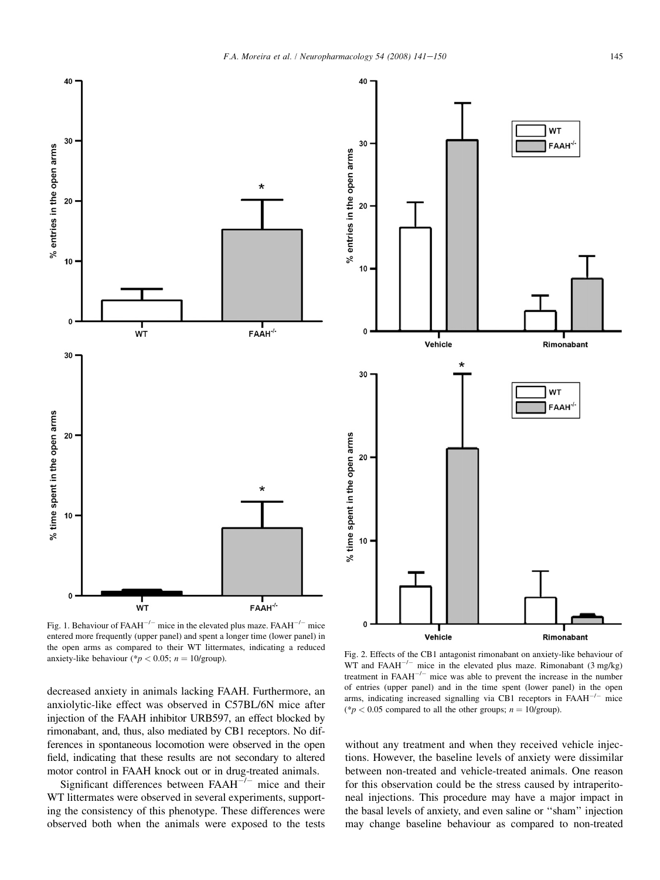<span id="page-4-0"></span>

Fig. 1. Behaviour of  $FAAH^{-/-}$  mice in the elevated plus maze.  $FAAH^{-/-}$  mice entered more frequently (upper panel) and spent a longer time (lower panel) in the open arms as compared to their WT littermates, indicating a reduced anxiety-like behaviour (\* $p < 0.05$ ;  $n = 10$ /group).

decreased anxiety in animals lacking FAAH. Furthermore, an anxiolytic-like effect was observed in C57BL/6N mice after injection of the FAAH inhibitor URB597, an effect blocked by rimonabant, and, thus, also mediated by CB1 receptors. No differences in spontaneous locomotion were observed in the open field, indicating that these results are not secondary to altered motor control in FAAH knock out or in drug-treated animals.

Significant differences between  $FAAH^{-/-}$  mice and their WT littermates were observed in several experiments, supporting the consistency of this phenotype. These differences were observed both when the animals were exposed to the tests

Fig. 2. Effects of the CB1 antagonist rimonabant on anxiety-like behaviour of WT and FAAH<sup> $-/-$ </sup> mice in the elevated plus maze. Rimonabant (3 mg/kg) treatment in  $FAAH^{-/-}$  mice was able to prevent the increase in the number of entries (upper panel) and in the time spent (lower panel) in the open arms, indicating increased signalling via CB1 receptors in  $FAAH^{-/-}$  mice (\* $p < 0.05$  compared to all the other groups;  $n = 10$ /group).

Vehicle

without any treatment and when they received vehicle injections. However, the baseline levels of anxiety were dissimilar between non-treated and vehicle-treated animals. One reason for this observation could be the stress caused by intraperitoneal injections. This procedure may have a major impact in the basal levels of anxiety, and even saline or ''sham'' injection may change baseline behaviour as compared to non-treated

**WT** 

**FAAH** 

Rimonabant

Rimonabant

WT **FAAH**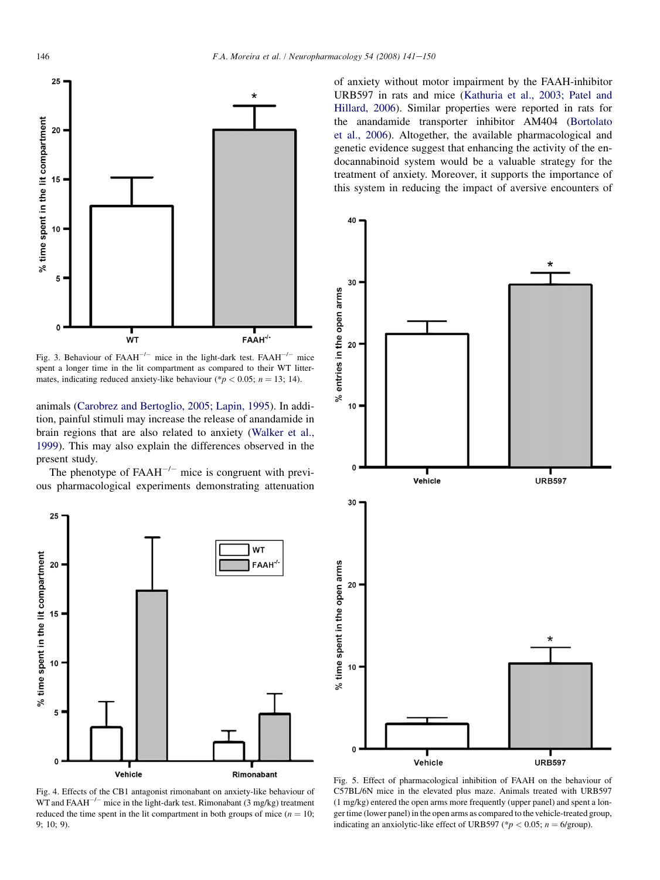<span id="page-5-0"></span>

Fig. 3. Behaviour of FAAH<sup>-/-</sup> mice in the light-dark test. FAAH<sup>-/-</sup> mice spent a longer time in the lit compartment as compared to their WT littermates, indicating reduced anxiety-like behaviour (\* $p < 0.05$ ; n = 13; 14).

animals ([Carobrez and Bertoglio, 2005; Lapin, 1995\)](#page-8-0). In addition, painful stimuli may increase the release of anandamide in brain regions that are also related to anxiety [\(Walker et al.,](#page-9-0) [1999\)](#page-9-0). This may also explain the differences observed in the present study.

The phenotype of  $FAAH^{-/-}$  mice is congruent with previous pharmacological experiments demonstrating attenuation



Fig. 4. Effects of the CB1 antagonist rimonabant on anxiety-like behaviour of WT and  $FAAH^{-/-}$  mice in the light-dark test. Rimonabant (3 mg/kg) treatment reduced the time spent in the lit compartment in both groups of mice ( $n = 10$ ; 9; 10; 9).

of anxiety without motor impairment by the FAAH-inhibitor URB597 in rats and mice ([Kathuria et al., 2003; Patel and](#page-8-0) [Hillard, 2006](#page-8-0)). Similar properties were reported in rats for the anandamide transporter inhibitor AM404 ([Bortolato](#page-8-0) [et al., 2006](#page-8-0)). Altogether, the available pharmacological and genetic evidence suggest that enhancing the activity of the endocannabinoid system would be a valuable strategy for the treatment of anxiety. Moreover, it supports the importance of this system in reducing the impact of aversive encounters of



Fig. 5. Effect of pharmacological inhibition of FAAH on the behaviour of C57BL/6N mice in the elevated plus maze. Animals treated with URB597 (1 mg/kg) entered the open arms more frequently (upper panel) and spent a longer time (lower panel) in the open arms as compared to the vehicle-treated group, indicating an anxiolytic-like effect of URB597 (\* $p < 0.05$ ; n = 6/group).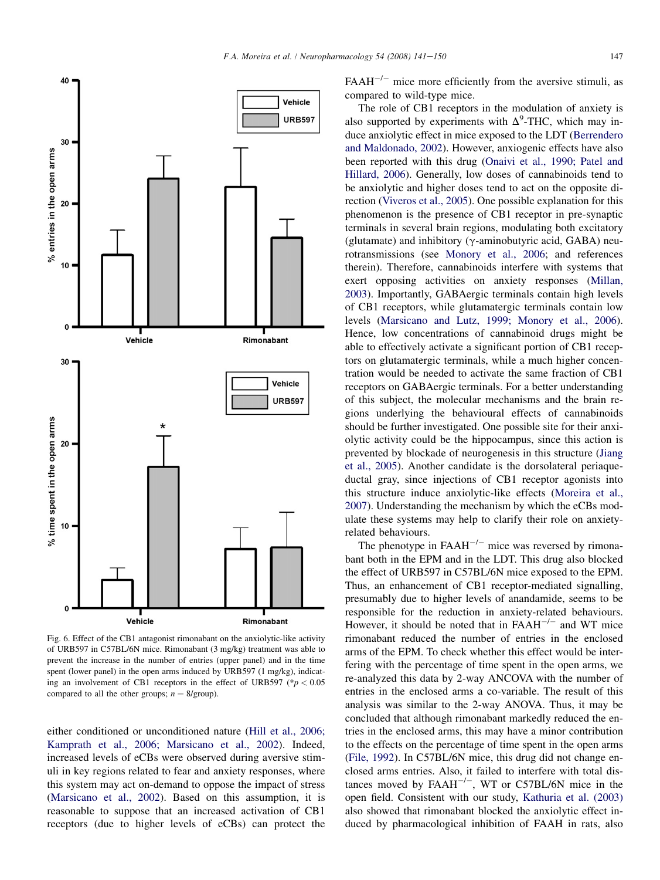

The role of CB1 receptors in the modulation of anxiety is also supported by experiments with  $\Delta^9$ -THC, which may induce anxiolytic effect in mice exposed to the LDT ([Berrendero](#page-8-0) [and Maldonado, 2002](#page-8-0)). However, anxiogenic effects have also been reported with this drug [\(Onaivi et al., 1990; Patel and](#page-9-0) [Hillard, 2006](#page-9-0)). Generally, low doses of cannabinoids tend to be anxiolytic and higher doses tend to act on the opposite direction [\(Viveros et al., 2005\)](#page-9-0). One possible explanation for this phenomenon is the presence of CB1 receptor in pre-synaptic terminals in several brain regions, modulating both excitatory (glutamate) and inhibitory ( $\gamma$ -aminobutyric acid, GABA) neurotransmissions (see [Monory et al., 2006](#page-8-0); and references therein). Therefore, cannabinoids interfere with systems that exert opposing activities on anxiety responses [\(Millan,](#page-8-0) [2003](#page-8-0)). Importantly, GABAergic terminals contain high levels of CB1 receptors, while glutamatergic terminals contain low levels ([Marsicano and Lutz, 1999; Monory et al., 2006\)](#page-8-0). Hence, low concentrations of cannabinoid drugs might be able to effectively activate a significant portion of CB1 receptors on glutamatergic terminals, while a much higher concentration would be needed to activate the same fraction of CB1 receptors on GABAergic terminals. For a better understanding of this subject, the molecular mechanisms and the brain regions underlying the behavioural effects of cannabinoids should be further investigated. One possible site for their anxiolytic activity could be the hippocampus, since this action is prevented by blockade of neurogenesis in this structure [\(Jiang](#page-8-0) [et al., 2005\)](#page-8-0). Another candidate is the dorsolateral periaqueductal gray, since injections of CB1 receptor agonists into this structure induce anxiolytic-like effects ([Moreira et al.,](#page-8-0) [2007](#page-8-0)). Understanding the mechanism by which the eCBs modulate these systems may help to clarify their role on anxietyrelated behaviours.

The phenotype in  $FAAH^{-/-}$  mice was reversed by rimonabant both in the EPM and in the LDT. This drug also blocked the effect of URB597 in C57BL/6N mice exposed to the EPM. Thus, an enhancement of CB1 receptor-mediated signalling, presumably due to higher levels of anandamide, seems to be responsible for the reduction in anxiety-related behaviours. However, it should be noted that in  $FAAH^{-/-}$  and WT mice rimonabant reduced the number of entries in the enclosed arms of the EPM. To check whether this effect would be interfering with the percentage of time spent in the open arms, we re-analyzed this data by 2-way ANCOVA with the number of entries in the enclosed arms a co-variable. The result of this analysis was similar to the 2-way ANOVA. Thus, it may be concluded that although rimonabant markedly reduced the entries in the enclosed arms, this may have a minor contribution to the effects on the percentage of time spent in the open arms ([File, 1992\)](#page-8-0). In C57BL/6N mice, this drug did not change enclosed arms entries. Also, it failed to interfere with total distances moved by  $FAAH^{-/-}$ , WT or C57BL/6N mice in the open field. Consistent with our study, [Kathuria et al. \(2003\)](#page-8-0) also showed that rimonabant blocked the anxiolytic effect induced by pharmacological inhibition of FAAH in rats, also

Fig. 6. Effect of the CB1 antagonist rimonabant on the anxiolytic-like activity of URB597 in C57BL/6N mice. Rimonabant (3 mg/kg) treatment was able to prevent the increase in the number of entries (upper panel) and in the time spent (lower panel) in the open arms induced by URB597 (1 mg/kg), indicating an involvement of CB1 receptors in the effect of URB597 ( $p < 0.05$ ) compared to all the other groups;  $n = 8$ /group).

either conditioned or unconditioned nature ([Hill et al., 2006;](#page-8-0) [Kamprath et al., 2006; Marsicano et al., 2002\)](#page-8-0). Indeed, increased levels of eCBs were observed during aversive stimuli in key regions related to fear and anxiety responses, where this system may act on-demand to oppose the impact of stress ([Marsicano et al., 2002\)](#page-8-0). Based on this assumption, it is reasonable to suppose that an increased activation of CB1 receptors (due to higher levels of eCBs) can protect the

<span id="page-6-0"></span>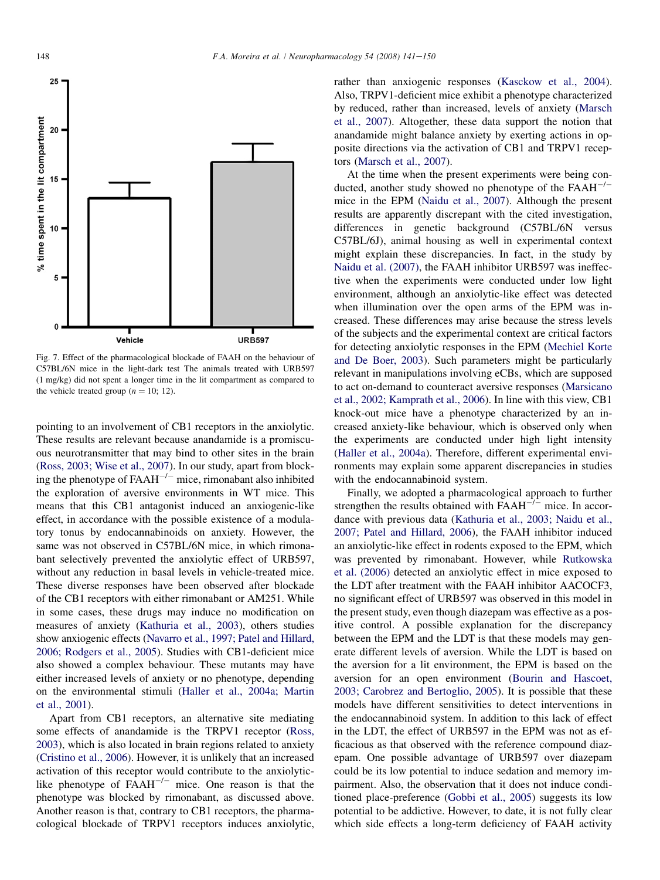<span id="page-7-0"></span>

Fig. 7. Effect of the pharmacological blockade of FAAH on the behaviour of C57BL/6N mice in the light-dark test The animals treated with URB597 (1 mg/kg) did not spent a longer time in the lit compartment as compared to the vehicle treated group ( $n = 10$ ; 12).

pointing to an involvement of CB1 receptors in the anxiolytic. These results are relevant because anandamide is a promiscuous neurotransmitter that may bind to other sites in the brain [\(Ross, 2003; Wise et al., 2007\)](#page-9-0). In our study, apart from blocking the phenotype of  $FAAH^{-/-}$  mice, rimonabant also inhibited the exploration of aversive environments in WT mice. This means that this CB1 antagonist induced an anxiogenic-like effect, in accordance with the possible existence of a modulatory tonus by endocannabinoids on anxiety. However, the same was not observed in C57BL/6N mice, in which rimonabant selectively prevented the anxiolytic effect of URB597, without any reduction in basal levels in vehicle-treated mice. These diverse responses have been observed after blockade of the CB1 receptors with either rimonabant or AM251. While in some cases, these drugs may induce no modification on measures of anxiety [\(Kathuria et al., 2003\)](#page-8-0), others studies show anxiogenic effects [\(Navarro et al., 1997; Patel and Hillard,](#page-9-0) [2006; Rodgers et al., 2005\)](#page-9-0). Studies with CB1-deficient mice also showed a complex behaviour. These mutants may have either increased levels of anxiety or no phenotype, depending on the environmental stimuli [\(Haller et al., 2004a; Martin](#page-8-0) [et al., 2001\)](#page-8-0).

Apart from CB1 receptors, an alternative site mediating some effects of anandamide is the TRPV1 receptor ([Ross,](#page-9-0) [2003\)](#page-9-0), which is also located in brain regions related to anxiety [\(Cristino et al., 2006](#page-8-0)). However, it is unlikely that an increased activation of this receptor would contribute to the anxiolyticlike phenotype of  $FAAH^{-/-}$  mice. One reason is that the phenotype was blocked by rimonabant, as discussed above. Another reason is that, contrary to CB1 receptors, the pharmacological blockade of TRPV1 receptors induces anxiolytic, rather than anxiogenic responses [\(Kasckow et al., 2004\)](#page-8-0). Also, TRPV1-deficient mice exhibit a phenotype characterized by reduced, rather than increased, levels of anxiety ([Marsch](#page-8-0) [et al., 2007](#page-8-0)). Altogether, these data support the notion that anandamide might balance anxiety by exerting actions in opposite directions via the activation of CB1 and TRPV1 receptors [\(Marsch et al., 2007\)](#page-8-0).

At the time when the present experiments were being conducted, another study showed no phenotype of the  $FAAH^{-/-}$ mice in the EPM ([Naidu et al., 2007](#page-9-0)). Although the present results are apparently discrepant with the cited investigation, differences in genetic background (C57BL/6N versus C57BL/6J), animal housing as well in experimental context might explain these discrepancies. In fact, in the study by [Naidu et al. \(2007\)](#page-9-0), the FAAH inhibitor URB597 was ineffective when the experiments were conducted under low light environment, although an anxiolytic-like effect was detected when illumination over the open arms of the EPM was increased. These differences may arise because the stress levels of the subjects and the experimental context are critical factors for detecting anxiolytic responses in the EPM [\(Mechiel Korte](#page-8-0) [and De Boer, 2003](#page-8-0)). Such parameters might be particularly relevant in manipulations involving eCBs, which are supposed to act on-demand to counteract aversive responses ([Marsicano](#page-8-0) [et al., 2002; Kamprath et al., 2006\)](#page-8-0). In line with this view, CB1 knock-out mice have a phenotype characterized by an increased anxiety-like behaviour, which is observed only when the experiments are conducted under high light intensity [\(Haller et al., 2004a](#page-8-0)). Therefore, different experimental environments may explain some apparent discrepancies in studies with the endocannabinoid system.

Finally, we adopted a pharmacological approach to further strengthen the results obtained with  $FAAH^{-/-}$  mice. In accordance with previous data ([Kathuria et al., 2003; Naidu et al.,](#page-8-0) [2007; Patel and Hillard, 2006\)](#page-8-0), the FAAH inhibitor induced an anxiolytic-like effect in rodents exposed to the EPM, which was prevented by rimonabant. However, while [Rutkowska](#page-9-0) [et al. \(2006\)](#page-9-0) detected an anxiolytic effect in mice exposed to the LDT after treatment with the FAAH inhibitor AACOCF3, no significant effect of URB597 was observed in this model in the present study, even though diazepam was effective as a positive control. A possible explanation for the discrepancy between the EPM and the LDT is that these models may generate different levels of aversion. While the LDT is based on the aversion for a lit environment, the EPM is based on the aversion for an open environment ([Bourin and Hascoet,](#page-8-0) [2003; Carobrez and Bertoglio, 2005](#page-8-0)). It is possible that these models have different sensitivities to detect interventions in the endocannabinoid system. In addition to this lack of effect in the LDT, the effect of URB597 in the EPM was not as efficacious as that observed with the reference compound diazepam. One possible advantage of URB597 over diazepam could be its low potential to induce sedation and memory impairment. Also, the observation that it does not induce conditioned place-preference [\(Gobbi et al., 2005](#page-8-0)) suggests its low potential to be addictive. However, to date, it is not fully clear which side effects a long-term deficiency of FAAH activity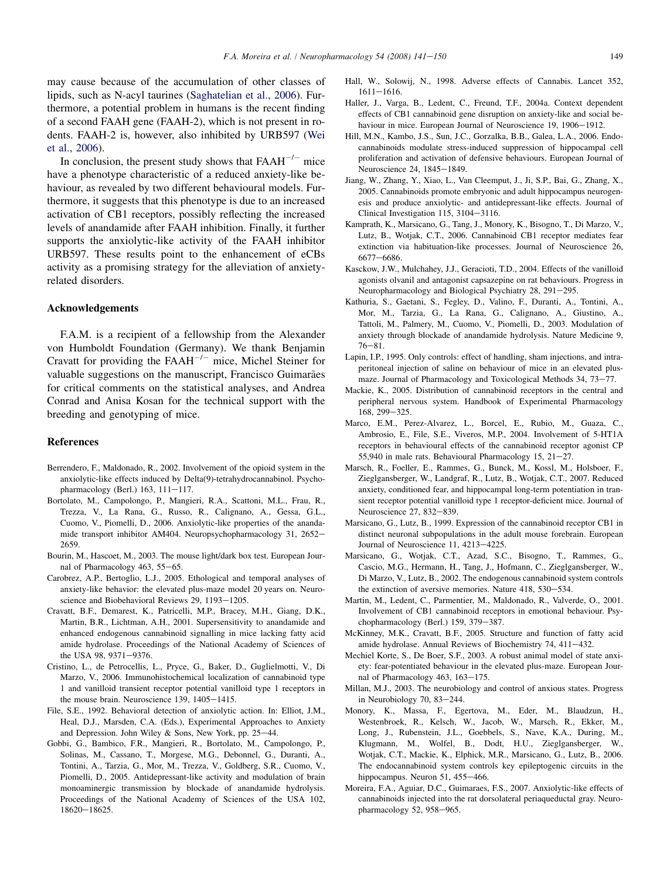<span id="page-8-0"></span>may cause because of the accumulation of other classes of lipids, such as N-acyl taurines ([Saghatelian et al., 2006\)](#page-9-0). Furthermore, a potential problem in humans is the recent finding of a second FAAH gene (FAAH-2), which is not present in rodents. FAAH-2 is, however, also inhibited by URB597 ([Wei](#page-9-0) [et al., 2006\)](#page-9-0).

In conclusion, the present study shows that  $FAAH^{-/-}$  mice have a phenotype characteristic of a reduced anxiety-like behaviour, as revealed by two different behavioural models. Furthermore, it suggests that this phenotype is due to an increased activation of CB1 receptors, possibly reflecting the increased levels of anandamide after FAAH inhibition. Finally, it further supports the anxiolytic-like activity of the FAAH inhibitor URB597. These results point to the enhancement of eCBs activity as a promising strategy for the alleviation of anxietyrelated disorders.

## Acknowledgements

F.A.M. is a recipient of a fellowship from the Alexander von Humboldt Foundation (Germany). We thank Benjamin Cravatt for providing the  $FAAH^{-/-}$  mice, Michel Steiner for valuable suggestions on the manuscript, Francisco Guimarães for critical comments on the statistical analyses, and Andrea Conrad and Anisa Kosan for the technical support with the breeding and genotyping of mice.

#### References

- Berrendero, F., Maldonado, R., 2002. Involvement of the opioid system in the anxiolytic-like effects induced by Delta(9)-tetrahydrocannabinol. Psychopharmacology (Berl.)  $163$ ,  $111-117$ .
- Bortolato, M., Campolongo, P., Mangieri, R.A., Scattoni, M.L., Frau, R., Trezza, V., La Rana, G., Russo, R., Calignano, A., Gessa, G.L., Cuomo, V., Piomelli, D., 2006. Anxiolytic-like properties of the anandamide transport inhibitor AM404. Neuropsychopharmacology 31, 2652-2659.
- Bourin, M., Hascoet, M., 2003. The mouse light/dark box test. European Journal of Pharmacology 463,  $55-65$ .
- Carobrez, A.P., Bertoglio, L.J., 2005. Ethological and temporal analyses of anxiety-like behavior: the elevated plus-maze model 20 years on. Neuroscience and Biobehavioral Reviews 29, 1193-1205.
- Cravatt, B.F., Demarest, K., Patricelli, M.P., Bracey, M.H., Giang, D.K., Martin, B.R., Lichtman, A.H., 2001. Supersensitivity to anandamide and enhanced endogenous cannabinoid signalling in mice lacking fatty acid amide hydrolase. Proceedings of the National Academy of Sciences of the USA 98, 9371-9376.
- Cristino, L., de Petrocellis, L., Pryce, G., Baker, D., Guglielmotti, V., Di Marzo, V., 2006. Immunohistochemical localization of cannabinoid type 1 and vanilloid transient receptor potential vanilloid type 1 receptors in the mouse brain. Neuroscience  $139$ ,  $1405-1415$ .
- File, S.E., 1992. Behavioral detection of anxiolytic action. In: Elliot, J.M., Heal, D.J., Marsden, C.A. (Eds.), Experimental Approaches to Anxiety and Depression. John Wiley & Sons, New York, pp.  $25-44$ .
- Gobbi, G., Bambico, F.R., Mangieri, R., Bortolato, M., Campolongo, P., Solinas, M., Cassano, T., Morgese, M.G., Debonnel, G., Duranti, A., Tontini, A., Tarzia, G., Mor, M., Trezza, V., Goldberg, S.R., Cuomo, V., Piomelli, D., 2005. Antidepressant-like activity and modulation of brain monoaminergic transmission by blockade of anandamide hydrolysis. Proceedings of the National Academy of Sciences of the USA 102,  $18620 - 18625.$
- Hall, W., Solowij, N., 1998. Adverse effects of Cannabis. Lancet 352,  $1611 - 1616$
- Haller, J., Varga, B., Ledent, C., Freund, T.F., 2004a. Context dependent effects of CB1 cannabinoid gene disruption on anxiety-like and social behaviour in mice. European Journal of Neuroscience 19, 1906-1912.
- Hill, M.N., Kambo, J.S., Sun, J.C., Gorzalka, B.B., Galea, L.A., 2006. Endocannabinoids modulate stress-induced suppression of hippocampal cell proliferation and activation of defensive behaviours. European Journal of Neuroscience 24, 1845-1849.
- Jiang, W., Zhang, Y., Xiao, L., Van Cleemput, J., Ji, S.P., Bai, G., Zhang, X., 2005. Cannabinoids promote embryonic and adult hippocampus neurogenesis and produce anxiolytic- and antidepressant-like effects. Journal of Clinical Investigation  $115$ ,  $3104-3116$ .
- Kamprath, K., Marsicano, G., Tang, J., Monory, K., Bisogno, T., Di Marzo, V., Lutz, B., Wotjak, C.T., 2006. Cannabinoid CB1 receptor mediates fear extinction via habituation-like processes. Journal of Neuroscience 26, 6677-6686.
- Kasckow, J.W., Mulchahey, J.J., Geracioti, T.D., 2004. Effects of the vanilloid agonists olvanil and antagonist capsazepine on rat behaviours. Progress in Neuropharmacology and Biological Psychiatry 28, 291-295.
- Kathuria, S., Gaetani, S., Fegley, D., Valino, F., Duranti, A., Tontini, A., Mor, M., Tarzia, G., La Rana, G., Calignano, A., Giustino, A., Tattoli, M., Palmery, M., Cuomo, V., Piomelli, D., 2003. Modulation of anxiety through blockade of anandamide hydrolysis. Nature Medicine 9,  $76 - 81.$
- Lapin, I.P., 1995. Only controls: effect of handling, sham injections, and intraperitoneal injection of saline on behaviour of mice in an elevated plusmaze. Journal of Pharmacology and Toxicological Methods 34, 73-77.
- Mackie, K., 2005. Distribution of cannabinoid receptors in the central and peripheral nervous system. Handbook of Experimental Pharmacology 168, 299-325.
- Marco, E.M., Perez-Alvarez, L., Borcel, E., Rubio, M., Guaza, C., Ambrosio, E., File, S.E., Viveros, M.P., 2004. Involvement of 5-HT1A receptors in behavioural effects of the cannabinoid receptor agonist CP 55,940 in male rats. Behavioural Pharmacology 15,  $21-27$ .
- Marsch, R., Foeller, E., Rammes, G., Bunck, M., Kossl, M., Holsboer, F., Zieglgansberger, W., Landgraf, R., Lutz, B., Wotjak, C.T., 2007. Reduced anxiety, conditioned fear, and hippocampal long-term potentiation in transient receptor potential vanilloid type 1 receptor-deficient mice. Journal of Neuroscience 27, 832-839.
- Marsicano, G., Lutz, B., 1999. Expression of the cannabinoid receptor CB1 in distinct neuronal subpopulations in the adult mouse forebrain. European Journal of Neuroscience 11, 4213-4225.
- Marsicano, G., Wotjak, C.T., Azad, S.C., Bisogno, T., Rammes, G., Cascio, M.G., Hermann, H., Tang, J., Hofmann, C., Zieglgansberger, W., Di Marzo, V., Lutz, B., 2002. The endogenous cannabinoid system controls the extinction of aversive memories. Nature  $418$ ,  $530-534$ .
- Martin, M., Ledent, C., Parmentier, M., Maldonado, R., Valverde, O., 2001. Involvement of CB1 cannabinoid receptors in emotional behaviour. Psychopharmacology (Berl.)  $159, 379-387$ .
- McKinney, M.K., Cravatt, B.F., 2005. Structure and function of fatty acid amide hydrolase. Annual Reviews of Biochemistry 74, 411-432.
- Mechiel Korte, S., De Boer, S.F., 2003. A robust animal model of state anxiety: fear-potentiated behaviour in the elevated plus-maze. European Journal of Pharmacology 463,  $163-175$ .
- Millan, M.J., 2003. The neurobiology and control of anxious states. Progress in Neurobiology 70,  $83-244$ .
- Monory, K., Massa, F., Egertova, M., Eder, M., Blaudzun, H., Westenbroek, R., Kelsch, W., Jacob, W., Marsch, R., Ekker, M., Long, J., Rubenstein, J.L., Goebbels, S., Nave, K.A., During, M., Klugmann, M., Wolfel, B., Dodt, H.U., Zieglgansberger, W., Wotjak, C.T., Mackie, K., Elphick, M.R., Marsicano, G., Lutz, B., 2006. The endocannabinoid system controls key epileptogenic circuits in the hippocampus. Neuron  $51$ ,  $455-466$ .
- Moreira, F.A., Aguiar, D.C., Guimaraes, F.S., 2007. Anxiolytic-like effects of cannabinoids injected into the rat dorsolateral periaqueductal gray. Neuropharmacology  $52$ ,  $958-965$ .